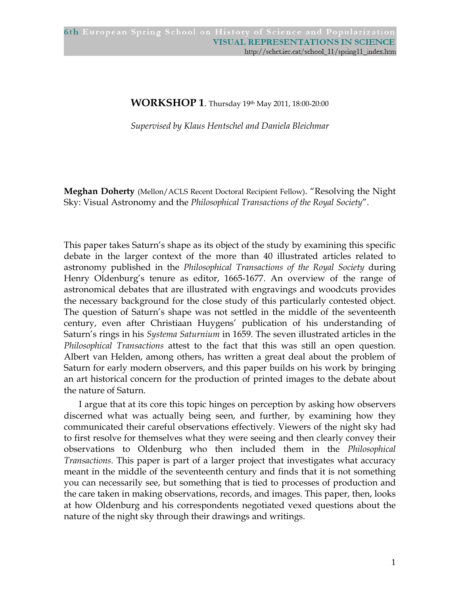## **WORKSHOP 1**. Thursday 19th May 2011, 18:00-20:00

*Supervised by Klaus Hentschel and Daniela Bleichmar* 

**Meghan Doherty** (Mellon/ACLS Recent Doctoral Recipient Fellow). "Resolving the Night Sky: Visual Astronomy and the *Philosophical Transactions of the Royal Society*".

This paper takes Saturn's shape as its object of the study by examining this specific debate in the larger context of the more than 40 illustrated articles related to astronomy published in the *Philosophical Transactions of the Royal Society* during Henry Oldenburg's tenure as editor, 1665-1677. An overview of the range of astronomical debates that are illustrated with engravings and woodcuts provides the necessary background for the close study of this particularly contested object. The question of Saturn's shape was not settled in the middle of the seventeenth century, even after Christiaan Huygens' publication of his understanding of Saturn's rings in his *Systema Saturnium* in 1659. The seven illustrated articles in the *Philosophical Transactions* attest to the fact that this was still an open question. Albert van Helden, among others, has written a great deal about the problem of Saturn for early modern observers, and this paper builds on his work by bringing an art historical concern for the production of printed images to the debate about the nature of Saturn.

I argue that at its core this topic hinges on perception by asking how observers discerned what was actually being seen, and further, by examining how they communicated their careful observations effectively. Viewers of the night sky had to first resolve for themselves what they were seeing and then clearly convey their observations to Oldenburg who then included them in the *Philosophical Transactions*. This paper is part of a larger project that investigates what accuracy meant in the middle of the seventeenth century and finds that it is not something you can necessarily see, but something that is tied to processes of production and the care taken in making observations, records, and images. This paper, then, looks at how Oldenburg and his correspondents negotiated vexed questions about the nature of the night sky through their drawings and writings.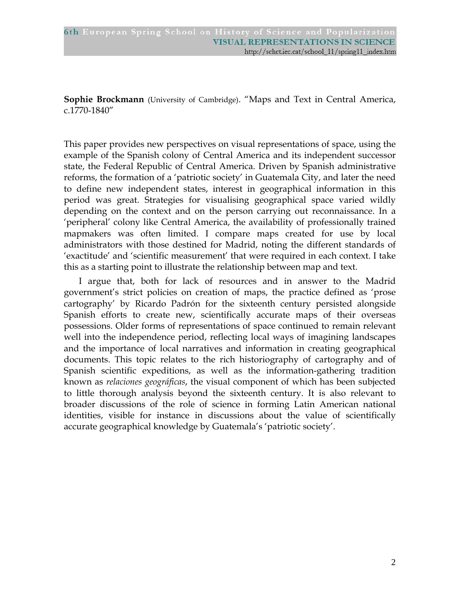**Sophie Brockmann** (University of Cambridge). "Maps and Text in Central America, c.1770-1840"

This paper provides new perspectives on visual representations of space, using the example of the Spanish colony of Central America and its independent successor state, the Federal Republic of Central America. Driven by Spanish administrative reforms, the formation of a 'patriotic society' in Guatemala City, and later the need to define new independent states, interest in geographical information in this period was great. Strategies for visualising geographical space varied wildly depending on the context and on the person carrying out reconnaissance. In a 'peripheral' colony like Central America, the availability of professionally trained mapmakers was often limited. I compare maps created for use by local administrators with those destined for Madrid, noting the different standards of 'exactitude' and 'scientific measurement' that were required in each context. I take this as a starting point to illustrate the relationship between map and text.

I argue that, both for lack of resources and in answer to the Madrid government's strict policies on creation of maps, the practice defined as 'prose cartography' by Ricardo Padrón for the sixteenth century persisted alongside Spanish efforts to create new, scientifically accurate maps of their overseas possessions. Older forms of representations of space continued to remain relevant well into the independence period, reflecting local ways of imagining landscapes and the importance of local narratives and information in creating geographical documents. This topic relates to the rich historiography of cartography and of Spanish scientific expeditions, as well as the information-gathering tradition known as *relaciones geográficas*, the visual component of which has been subjected to little thorough analysis beyond the sixteenth century. It is also relevant to broader discussions of the role of science in forming Latin American national identities, visible for instance in discussions about the value of scientifically accurate geographical knowledge by Guatemala's 'patriotic society'.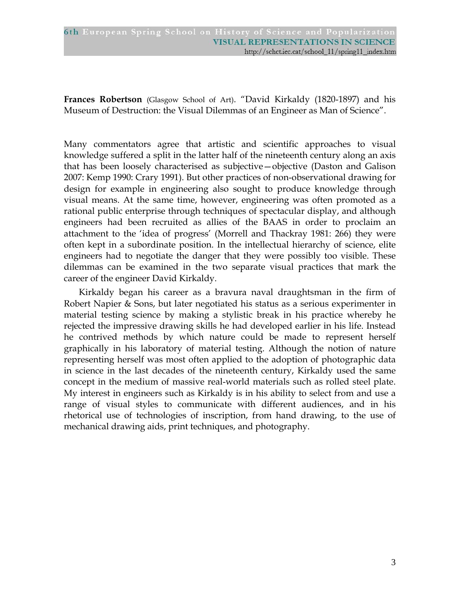**Frances Robertson** (Glasgow School of Art). "David Kirkaldy (1820-1897) and his Museum of Destruction: the Visual Dilemmas of an Engineer as Man of Science".

Many commentators agree that artistic and scientific approaches to visual knowledge suffered a split in the latter half of the nineteenth century along an axis that has been loosely characterised as subjective—objective (Daston and Galison 2007: Kemp 1990: Crary 1991). But other practices of non-observational drawing for design for example in engineering also sought to produce knowledge through visual means. At the same time, however, engineering was often promoted as a rational public enterprise through techniques of spectacular display, and although engineers had been recruited as allies of the BAAS in order to proclaim an attachment to the 'idea of progress' (Morrell and Thackray 1981: 266) they were often kept in a subordinate position. In the intellectual hierarchy of science, elite engineers had to negotiate the danger that they were possibly too visible. These dilemmas can be examined in the two separate visual practices that mark the career of the engineer David Kirkaldy.

Kirkaldy began his career as a bravura naval draughtsman in the firm of Robert Napier & Sons, but later negotiated his status as a serious experimenter in material testing science by making a stylistic break in his practice whereby he rejected the impressive drawing skills he had developed earlier in his life. Instead he contrived methods by which nature could be made to represent herself graphically in his laboratory of material testing. Although the notion of nature representing herself was most often applied to the adoption of photographic data in science in the last decades of the nineteenth century, Kirkaldy used the same concept in the medium of massive real-world materials such as rolled steel plate. My interest in engineers such as Kirkaldy is in his ability to select from and use a range of visual styles to communicate with different audiences, and in his rhetorical use of technologies of inscription, from hand drawing, to the use of mechanical drawing aids, print techniques, and photography.